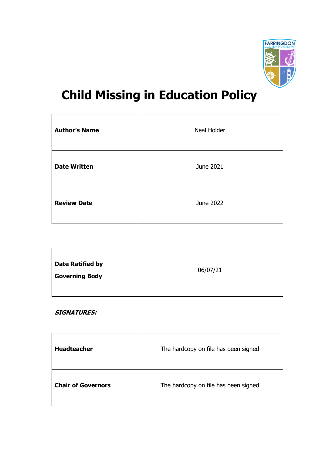

# **Child Missing in Education Policy**

| <b>Author's Name</b> | Neal Holder |
|----------------------|-------------|
| <b>Date Written</b>  | June 2021   |
| <b>Review Date</b>   | June 2022   |

# **SIGNATURES:**

| <b>Headteacher</b>        | The hardcopy on file has been signed |
|---------------------------|--------------------------------------|
| <b>Chair of Governors</b> | The hardcopy on file has been signed |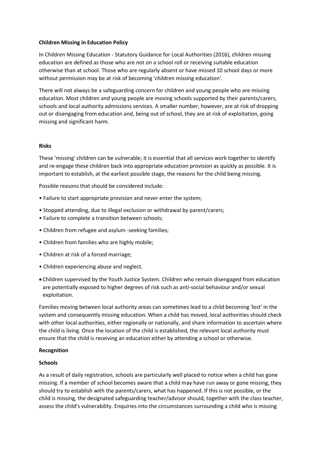#### **Children Missing in Education Policy**

In Children Missing Education - Statutory Guidance for Local Authorities (2016), children missing education are defined as those who are not on a school roll or receiving suitable education otherwise than at school. Those who are regularly absent or have missed 10 school days or more without permission may be at risk of becoming 'children missing education'.

There will not always be a safeguarding concern for children and young people who are missing education. Most children and young people are moving schools supported by their parents/carers, schools and local authority admissions services. A smaller number, however, are at risk of dropping out or disengaging from education and, being out of school, they are at risk of exploitation, going missing and significant harm.

#### **Risks**

These 'missing' children can be vulnerable; it is essential that all services work together to identify and re-engage these children back into appropriate education provision as quickly as possible. It is important to establish, at the earliest possible stage, the reasons for the child being missing.

Possible reasons that should be considered include:

- Failure to start appropriate provision and never enter the system;
- Stopped attending, due to illegal exclusion or withdrawal by parent/carers;
- Failure to complete a transition between schools;
- Children from refugee and asylum -seeking families;
- Children from families who are highly mobile;
- Children at risk of a forced marriage;
- Children experiencing abuse and neglect.
- Children supervised by the Youth Justice System. Children who remain disengaged from education are potentially exposed to higher degrees of risk such as anti-social behaviour and/or sexual exploitation.

Families moving between local authority areas can sometimes lead to a child becoming 'lost' in the system and consequently missing education. When a child has moved, local authorities should check with other local authorities, either regionally or nationally, and share information to ascertain where the child is living. Once the location of the child is established, the relevant local authority must ensure that the child is receiving an education either by attending a school or otherwise.

#### **Recognition**

#### **Schools**

As a result of daily registration, schools are particularly well placed to notice when a child has gone missing. If a member of school becomes aware that a child may have run away or gone missing, they should try to establish with the parents/carers, what has happened. If this is not possible, or the child is missing, the designated safeguarding teacher/advisor should, together with the class teacher, assess the child's vulnerability. Enquiries into the circumstances surrounding a child who is missing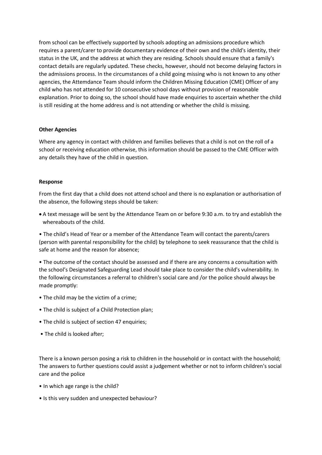from school can be effectively supported by schools adopting an admissions procedure which requires a parent/carer to provide documentary evidence of their own and the child's identity, their status in the UK, and the address at which they are residing. Schools should ensure that a family's contact details are regularly updated. These checks, however, should not become delaying factors in the admissions process. In the circumstances of a child going missing who is not known to any other agencies, the Attemdance Team should inform the Children Missing Education (CME) Officer of any child who has not attended for 10 consecutive school days without provision of reasonable explanation. Prior to doing so, the school should have made enquiries to ascertain whether the child is still residing at the home address and is not attending or whether the child is missing.

#### **Other Agencies**

Where any agency in contact with children and families believes that a child is not on the roll of a school or receiving education otherwise, this information should be passed to the CME Officer with any details they have of the child in question.

#### **Response**

From the first day that a child does not attend school and there is no explanation or authorisation of the absence, the following steps should be taken:

 A text message will be sent by the Attendance Team on or before 9:30 a.m. to try and establish the whereabouts of the child.

• The child's Head of Year or a member of the Attendance Team will contact the parents/carers (person with parental responsibility for the child) by telephone to seek reassurance that the child is safe at home and the reason for absence;

• The outcome of the contact should be assessed and if there are any concerns a consultation with the school's Designated Safeguarding Lead should take place to consider the child's vulnerability. In the following circumstances a referral to children's social care and /or the police should always be made promptly:

- The child may be the victim of a crime;
- The child is subject of a Child Protection plan;
- The child is subject of section 47 enquiries;
- The child is looked after;

There is a known person posing a risk to children in the household or in contact with the household; The answers to further questions could assist a judgement whether or not to inform children's social care and the police

- In which age range is the child?
- Is this very sudden and unexpected behaviour?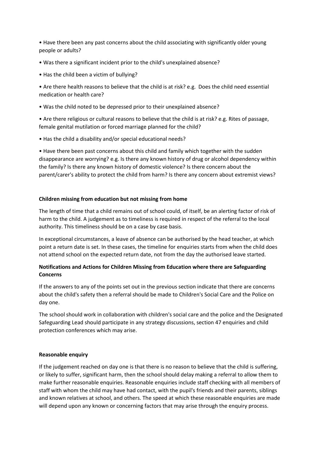• Have there been any past concerns about the child associating with significantly older young people or adults?

- Was there a significant incident prior to the child's unexplained absence?
- Has the child been a victim of bullying?
- Are there health reasons to believe that the child is at risk? e.g. Does the child need essential medication or health care?
- Was the child noted to be depressed prior to their unexplained absence?

• Are there religious or cultural reasons to believe that the child is at risk? e.g. Rites of passage, female genital mutilation or forced marriage planned for the child?

• Has the child a disability and/or special educational needs?

• Have there been past concerns about this child and family which together with the sudden disappearance are worrying? e.g. Is there any known history of drug or alcohol dependency within the family? Is there any known history of domestic violence? Is there concern about the parent/carer's ability to protect the child from harm? Is there any concern about extremist views?

#### **Children missing from education but not missing from home**

The length of time that a child remains out of school could, of itself, be an alerting factor of risk of harm to the child. A judgement as to timeliness is required in respect of the referral to the local authority. This timeliness should be on a case by case basis.

In exceptional circumstances, a leave of absence can be authorised by the head teacher, at which point a return date is set. In these cases, the timeline for enquiries starts from when the child does not attend school on the expected return date, not from the day the authorised leave started.

# **Notifications and Actions for Children Missing from Education where there are Safeguarding Concerns**

If the answers to any of the points set out in the previous section indicate that there are concerns about the child's safety then a referral should be made to Children's Social Care and the Police on day one.

The school should work in collaboration with children's social care and the police and the Designated Safeguarding Lead should participate in any strategy discussions, section 47 enquiries and child protection conferences which may arise.

### **Reasonable enquiry**

If the judgement reached on day one is that there is no reason to believe that the child is suffering, or likely to suffer, significant harm, then the school should delay making a referral to allow them to make further reasonable enquiries. Reasonable enquiries include staff checking with all members of staff with whom the child may have had contact, with the pupil's friends and their parents, siblings and known relatives at school, and others. The speed at which these reasonable enquiries are made will depend upon any known or concerning factors that may arise through the enquiry process.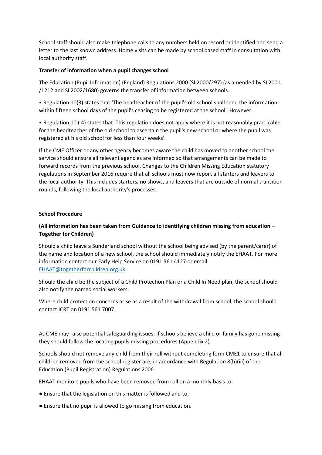School staff should also make telephone calls to any numbers held on record or identified and send a letter to the last known address. Home visits can be made by school based staff in consultation with local authority staff.

#### **Transfer of information when a pupil changes school**

The Education (Pupil Information) (England) Regulations 2000 (SI 2000/297) (as amended by SI 2001 /1212 and SI 2002/1680) governs the transfer of information between schools.

• Regulation 10(3) states that 'The headteacher of the pupil's old school shall send the information within fifteen school days of the pupil's ceasing to be registered at the school'. However

• Regulation 10 ( 4) states that 'This regulation does not apply where it is not reasonably practicable for the headteacher of the old school to ascertain the pupil's new school or where the pupil was registered at his old school for less than four weeks'.

If the CME Officer or any other agency becomes aware the child has moved to another school the service should ensure all relevant agencies are informed so that arrangements can be made to forward records from the previous school. Changes to the Children Missing Education statutory regulations in September 2016 require that all schools must now report all starters and leavers to the local authority. This includes starters, no shows, and leavers that are outside of normal transition rounds, following the local authority's processes.

#### **School Procedure**

# **(All information has been taken from Guidance to identifying children missing from education – Together for Children)**

Should a child leave a Sunderland school without the school being advised (by the parent/carer) of the name and location of a new school, the school should immediately notify the EHAAT. For more information contact our Early Help Service on 0191 561 4127 or email [EHAAT@togetherforchildren.org.uk.](mailto:EHAAT@togetherforchildren.org.uk)

Should the child be the subject of a Child Protection Plan or a Child In Need plan, the school should also notify the named social workers.

Where child protection concerns arise as a result of the withdrawal from school, the school should contact ICRT on 0191 561 7007.

As CME may raise potential safeguarding issues: If schools believe a child or family has gone missing they should follow the locating pupils missing procedures (Appendix 2).

Schools should not remove any child from their roll without completing form CME1 to ensure that all children removed from the school register are, in accordance with Regulation 8(h)(iii) of the Education (Pupil Registration) Regulations 2006.

EHAAT monitors pupils who have been removed from roll on a monthly basis to:

- Ensure that the legislation on this matter is followed and to,
- Ensure that no pupil is allowed to go missing from education.